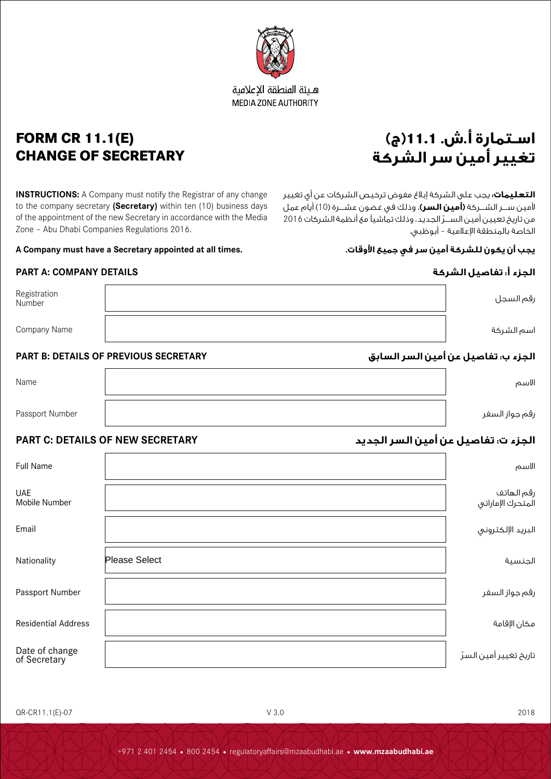

**FORM CR 11.1(E) CHANGE OF SECRETARY**

**INSTRUCTIONS:** A Company must notify the Registrar of any change to the company secretary **(Secretary)** within ten (10) business days of the appointment of the new Secretary in accordance with the Media Zone – Abu Dhabi Companies Regulations 2016.

**A Company must have a Secretary appointed at all times. .األوقات جميع في سر أمين للشركة يكون أن يجب**

# **الجزء أ: تفاصيل الشركة DETAILS COMPANY :A PART**

| Registration<br>Number |                                       | رقم السجل                           |  |
|------------------------|---------------------------------------|-------------------------------------|--|
| Company Name           |                                       | اسم الشركة                          |  |
|                        | PART B: DETAILS OF PREVIOUS SECRETARY | الجزء ب: تفاصيل عن أمين السر السابق |  |
| Name                   |                                       | الاسم                               |  |
| Passport Number        |                                       | رقم جواز السفر                      |  |

# **الجزء ت: تفاصيل عن أمين السر الجديد SECRETARY NEW OF DETAILS :C PART**

| <b>Full Name</b>               |                      | الاسم                           |
|--------------------------------|----------------------|---------------------------------|
| <b>UAE</b><br>Mobile Number    |                      | رقم الهاتف<br>المتحرك الإماراتي |
| Email                          |                      | البريد الإلكتروني               |
| Nationality                    | <b>Please Select</b> | الجنسية                         |
| Passport Number                |                      | رقم جواز السفر                  |
| <b>Residential Address</b>     |                      | مكان الإقامة                    |
| Date of change<br>of Secretary |                      | تاريخ تغيير أمين السرّ          |

# **اسـتمارة أ.ش. 11.1)ج(**

**التعليمات:** يجب على الشركة إبالغ مفوض ترخيص الشركات عن أي تغيير ألمين ســــر الشــــركة **)أمين السر(**، وذلك في غضون عشــــرة )10( أيام عمل ّ من تاريخ تعيين أمين الســــر الجديد، وذلك تماشيًا مع أنظمة الشركات 2016 الخاصة بالمنطقة اإلعالمية – أبوظبي.





هبئة المنطقة الاعلامية **MEDIA ZONE AUTHORITY**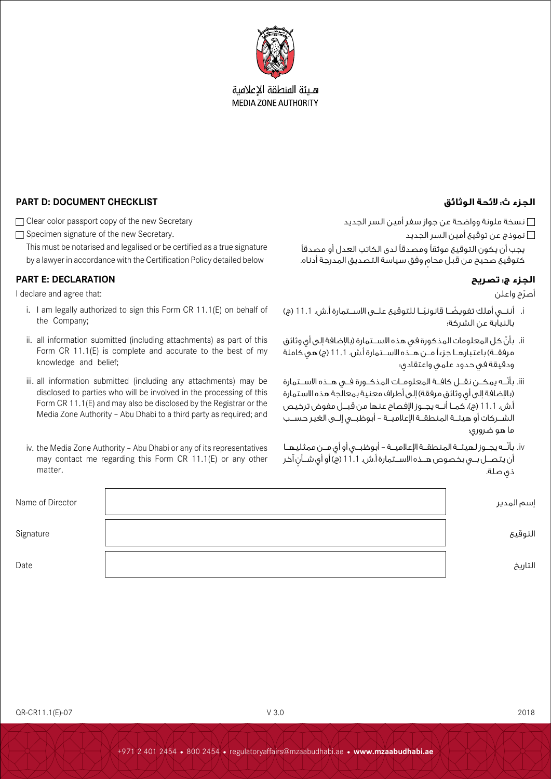

هيئة المنطقة الإعلامية **MEDIA ZONE AUTHORITY** 

# **الجزء ث: الئحة الوثائق CHECKLIST DOCUMENT :D PART**

□ Clear color passport copy of the new Secretary

Specimen signature of the new Secretary.

This must be notarised and legalised or be certified as a true signature by a lawyer in accordance with the Certification Policy detailed below

# **الجزء ج: تصريح DECLARATION :E PART**

I declare and agree that:

- i. I am legally authorized to sign this Form CR 11.1(E) on behalf of the Company;
- ii. all information submitted (including attachments) as part of this Form CR 11.1(E) is complete and accurate to the best of my knowledge and belief;
- iii. all information submitted (including any attachments) may be disclosed to parties who will be involved in the processing of this Form CR 11.1(E) and may also be disclosed by the Registrar or the Media Zone Authority – Abu Dhabi to a third party as required; and
- iv. the Media Zone Authority Abu Dhabi or any of its representatives may contact me regarding this Form CR 11.1(E) or any other matter.

نسخة ملونة وواضحة عن جواز سفر أمين السر الجديد

نموذج عن توقيع أمين السر الجديد

يجب أن يكون التوقيع موثقًا ومصدقًا لدى الكاتب العدل أو مصدقًا ٍ كتوقيع صحيح من قبل محام وفق سياسة التصديق المدرجة أدناه.

أصرّح واعلن

- i. ً أننـــي أملك تفويض ً ـــا قانونيـــا للتوقيع علـــى االســـتمارة أ.ش. 11.1 )ج( بالنيابة عن الشركة؛
- ii. ّ بأن كل المعلومات المذكورة في هذه االســـتمارة )باإلضافة إلى أي وثائق مرفقــة) باعتبارهــا جزءاً مــن هــده الاســتمارة أ.ش. 11.1 (ج) هي كاملة ودقيقة في حدود علمي واعتقادي؛
- iii. بأنّــه يمكــن نقــل كافــة المعلومــات المذكــورة فــى هــذه الاســتمارة (بالإضافة إلى أي وثائق مرفقة) إلى أطراف معنية بمعالجة هذه الاستمارة أ.ش. 11.1 (ج)، كمــا أنـــه يجــوز الإفصاح عنها من قبــل مفوض ترخيص الشـــركات أو هيئـــة المنطقـــة اإلعالميـــة – أبوظبـــي إلـــى الغير حســـب ما هو ضروري؛
- iv. بأنّــه يجــوز لهيئــة المنطقــة الإعلاميــة أبوظبــى أو أي مــن ممثليهــا أن يتصــل بــى بخصوص هــذه الاســتمارة أ.ش. 11.1 (ج) أو أي شــأن آخر ذي صلة.

| Name of Director | إسم المدير |
|------------------|------------|
| Signature        | التوقيع    |
| Date             | التاريخ    |